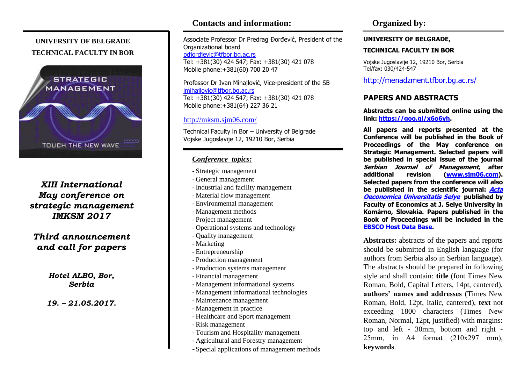## **UNIVERSITY OF BELGRADE TECHNICAL FACULTY IN BOR**



# *XIII International May conference on strategic management IMKSM 2017*

*Third announcement and call for papers*

> *Hotel ALBO, Bor, Serbia*

### *19. – 21.05.2017.*

# **Contacts and information:**

Associate Professor Dr Predrag Đorđević, President of the Organizational board [pdjordjevic@tfbor.bg.ac.rs](mailto:pdjordjevic@tfbor.bg.ac.rs) Tel: +381(30) 424 547; Fax: +381(30) 421 078 Mobile phone:+381(60) 700 20 47

Professor Dr Ivan Mihajlović, Vice-president of the SB imihajlovic@tfbor.bg.ac.rs Tel: +381(30) 424 547; Fax: +381(30) 421 078 Mobile phone:+381(64) 227 36 21

### <http://mksm.sjm06.com/>

Technical Faculty in Bor – University of Belgrade Vojske Jugoslavije 12, 19210 Bor, Serbia

### *Conference topics:*

- Strategic management
- General management
- Industrial and facility management
- Material flow management
- Environmental management
- Management methods
- Project management
- Operational systems and technology
- Quality management
- Marketing
- Entrepreneurship
- Production management
- Production systems management
- Financial management
- Management informational systems
- Management informational technologies
- Maintenance management
- Management in practice
- Healthcare and Sport management
- Risk management
- Tourism and Hospitality management
- Agricultural and Forestry management
- Special applications of management methods

### **UNIVERSITY OF BELGRADE,**

### **TECHNICAL FACULTY IN BOR**

Vojske Jugoslavije 12, 19210 Bor, Serbia Tel/fax: 030/424-547

<http://menadzment.tfbor.bg.ac.rs/>

## **PAPERS AND ABSTRACTS**

**Abstracts can be submitted online using the link: [https://goo.gl/x6o6yh.](https://goo.gl/x6o6yh)**

**All papers and reports presented at the Conference will be published in the Book of Proceedings of the May conference on Strategic Management. Selected papers will be published in special issue of the journal Serbian Journal of Management, after additional revision [\(www.sjm06.com\)](http://www.sjm06.com/). Selected papers from the conference will also be published in the scientific journal: [Acta](http://acta.ujs.sk/?lang=en) [Oeconomica Universitatis Selye](http://acta.ujs.sk/?lang=en) published by Faculty of Economics at J. Selye University in Komárno, Slovakia. Papers published in the Book of Proceedings will be included in the [EBSCO Host Data Base.](http://www.ebscohost.com/)**

**Abstracts:** abstracts of the papers and reports should be submitted in English language (for authors from Serbia also in Serbian language). The abstracts should be prepared in following style and shall contain: **title** (font Times New Roman, Bold, Capital Letters, 14pt, cantered), **authors' names and addresses** (Times New Roman, Bold, 12pt, Italic, cantered), **text** not exceeding 1800 characters (Times New Roman, Normal, 12pt, justified) with margins: top and left - 30mm, bottom and right - 25mm, in A4 format (210х297 mm), **keywords**.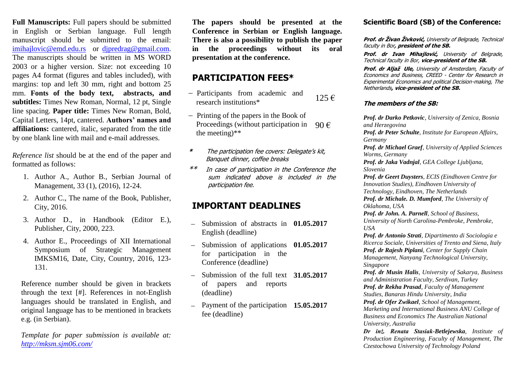**Full Manuscripts:** Full papers should be submitted in English or Serbian language. Full length manuscript should be submitted to the email: [imihajlovic@emd.edu.rs](mailto:imihajlovic@emd.edu.rs) or [djpredrag@gmail.com.](mailto:djpredrag@gmail.com) The manuscripts should be written in MS WORD 2003 or a higher version. Size: not exceeding 10 pages A4 format (figures and tables included), with margins: top and left 30 mm, right and bottom 25 mm. **Fonts of the body text, abstracts, and subtitles:** Times New Roman, Normal, 12 pt, Single line spacing. **Paper title:** Times New Roman, Bold, Capital Letters, 14pt, cantered. **Authors' names and affiliations:** cantered, italic, separated from the title by one blank line with mail and e-mail addresses.

*Reference list* should be at the end of the paper and formatted as follows:

- 1. Author A., Author B., Serbian Journal of Management, 33 (1), (2016), 12-24.
- 2. Author C., The name of the Book, Publisher, City, 2016.
- 3. Author D., in Handbook (Editor E.), Publisher, City, 2000, 223.
- 4. Author E., Proceedings of XII International Symposium of Strategic Management IMKSM16, Date, City, Country, 2016, 123- 131.

Reference number should be given in brackets through the text [#]. References in not-English languages should be translated in English, and original language has to be mentioned in brackets e.g. (in Serbian).

*Template for paper submission is available at: http://mksm.sjm06.com/* 

**The papers should be presented at the Conference in Serbian or English language. There is also a possibility to publish the paper in the proceedings without its oral presentation at the conference.** 

## **PARTICIPATION FEES\***

- Participants from academic and raticipally from academic and  $125 \in$
- $-$  Printing of the papers in the Book of Proceedings (without participation in the meeting)\*\* 90 €
- **\*** The participation fee covers: Delegate's kit, Banquet dinner, coffee breaks
- \*\* In case of participation in the Conference the sum indicated above is included in the participation fee.

# **IMPORTANT DEADLINES**

- Submission of abstracts in 01.05.2017 English (deadline)
- Submission of applications **01.05.2017** for participation in the Conference (deadline)
- Submission of the full text 31.05.2017 of papers and reports (deadline)
- Payment of the participation **15.05.2017**fee (deadline)

## **Scientific Board (SB) of the Conference:**

**Prof. dr Živan Živković,** University of Belgrade, Technical faculty in Bor**, president of the SB.**

**Prof. dr Ivan Mihajlović,** University of Belgrade, Technical faculty in Bor, **vice-president of the SB.**

**Prof. dr Aljaž Ule,** University of Amsterdam, Faculty of Economics and Business, CREED - Center for Research in Experimental Economics and political Decision-making, The Netherlands**, vice-president of the SB.**

## **The members of the SB:**

*Prof. dr Darko Petkovic, University of Zenica, Bosnia and Herzegovina Prof. dr Peter Schulte, Institute for European Affairs, Germany Prof. dr Michael Graef, University of Applied Sciences Worms, Germany Prof. dr Jaka Vadnjal, GEA College Ljubljana, Slovenia Prof. dr Geert Duysters, ECIS (Eindhoven Centre for Innovation Studies), Eindhoven University of Technology, Eindhoven, The Netherlands Prof. dr Michale. D. Mumford, The University of Oklahoma, USA Prof. dr John. A. Parnell, School of Business, University of North Carolina-Pembroke, Pembroke, USA Prof. dr Antonio Strati, Dipartimento di Sociologia e Ricerca Sociale, Universities of Trento and Siena, Italy Prof. dr Rajesh Piplani, Center for Supply Chain Management, Nanyang Technological University, Singapore Prof. dr Musin Halis, University of Sakarya, Business and Administration Faculty, Serdivan, Turkey Prof. dr Rekha Prasad, Faculty of Management Studies, Banaras Hindu University, India Prof. dr Ofer Zwikael, School of Management, Marketing and International Business ANU College of Business and Economics The Australian National University, Australia Dr inż. Renata Stasiak-Betlejewska, Institute of* 

*Production Engineering, Faculty of Management, The Czestochowa University of Technology Poland*